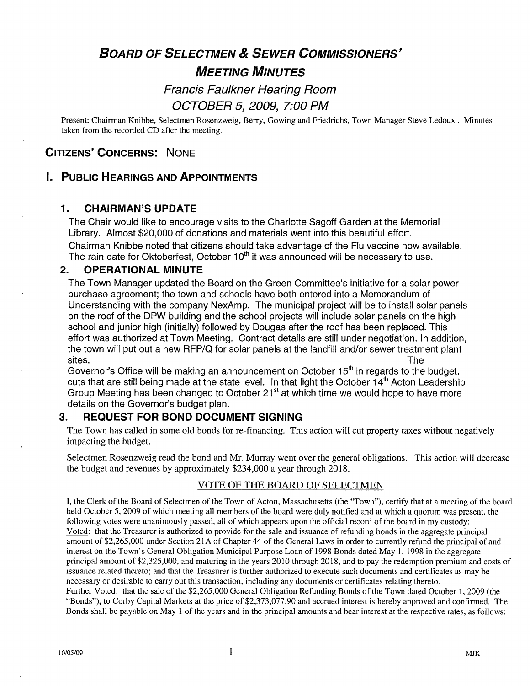# BOARD OF SELECTMEN & SEWER COMMISSIONERS' MEETING MINUTES

## Francis Faulkner Hearing Room OCTOBER 5, 2009, 7:00 PM

Present: Chairman Knibbe, Selectmen Rosenzweig, Berry, Gowing and Friedrichs, Town Manager Steve Ledoux. Minutes taken from the recorded CD after the meeting.

## CITIZENS' CONCERNS: NONE

### I. PUBLIC HEARINGS AND APPOINTMENTS

#### 1. CHAIRMAN'S UPDATE

The Chair would like to encourage visits to the Charlotte Sagoff Garden at the Memorial Library. Almost \$20,000 of donations and materials went into this beautiful effort. Chairman Knibbe noted that citizens should take advantage of the Flu vaccine now available. The rain date for Oktoberfest, October  $10<sup>th</sup>$  it was announced will be necessary to use.

#### 2. OPERATIONAL MINUTE

The Town Manager updated the Board on the Green Committee's initiative for a solar power purchase agreement; the town and schools have both entered into a Memorandum of Understanding with the company NexAmp. The municipal project will be to install solar panels on the roof of the DPW building and the school projects will include solar panels on the high school and junior high (initially) followed by Dougas after the roof has been replaced. This effort was authorized at Town Meeting. Contract details are still under negotiation. In addition, the town will put out a new RFP/Q for solar panels at the landfill and/or sewer treatment plant

sites.<br>Governor's Office will be making an announcement on October 15<sup>th</sup> in regards to the budget, the town will put out a new RFP/Q for solar panels at the landfill and/or sewer treatment plant<br>sites.<br>Governor's Office will be making an announcement on October 15<sup>th</sup> in regards to the budget,<br>cuts that are still being cuts that are still being made at the state level. In that light the October  $14^{\text{th}}$  Acton Leadership Group Meeting has been changed to October  $21^{\text{st}}$  at which time we would hope to have more details on the Governor's budget plan.

#### 3. REQUEST FOR BOND DOCUMENT SIGNING

The Town has called in some old bonds for re-financing. This action will cut property taxes without negatively impacting the budget.

Selectmen Rosenzweig read the bond and Mr. Murray went over the general obligations. This action will decrease the budget and revenues by approximately \$234,000 a year through 2018.

#### VOTE OF THE BOARD OF SELECTMEN

I, the Clerk of the Board of Selectmen of the Town of Acton, Massachusetts (the "Town"), certify that at a meeting of the board held October 5, 2009 of which meeting all members of the board were duly notified and at which a quorum was present, the following votes were unanimously passed, all of which appears upon the official record of the board in my custody: Voted: that the Treasurer is authorized to provide for the sale and issuance of refunding bonds in the aggregate principal amount of \$2,265,000 under Section 21A of Chapter 44 of the General Laws in order to currently refund the principal of and interest on the Town's General Obligation Municipal Purpose Loan of 1998 Bonds dated May 1, 1998 in the aggregate principal amount of \$2,325,000, and maturing in the years 2010 through 2018, and to pay the redemption premium and costs of issuance related thereto; and that the Treasurer is further authorized to execute such documents and certificates as may be necessary or desirable to carry out this transaction, including any documents or certificates relating thereto. Further Voted: that the sale of the \$2,265,000 General Obligation Refunding Bonds of the Town dated October 1, 2009 (the

"Bonds"), to Corby Capital Markets at the price of \$2,373,077.90 and accrued interest is hereby approved and confirmed. The Bonds shall be payable on May <sup>1</sup> of the years and in the principal amounts and bear interest at the respective rates, as follows: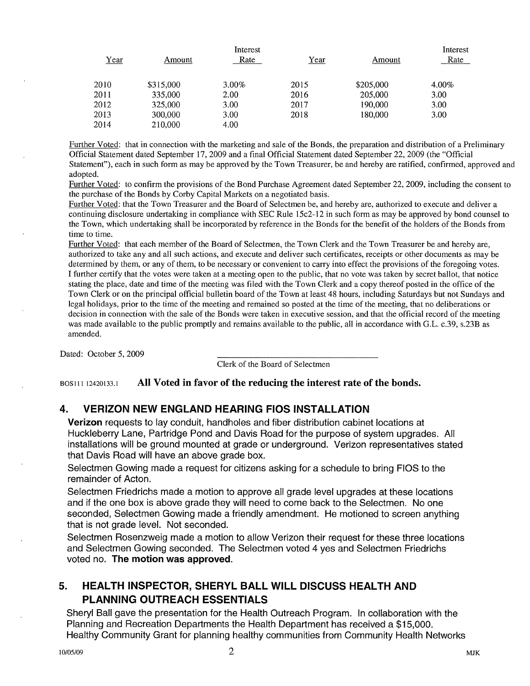|      |           | Interest |             |           | Interest |
|------|-----------|----------|-------------|-----------|----------|
| Year | Amount    | Rate     | <u>Year</u> | Amount    | Rate     |
| 2010 | \$315,000 | $3.00\%$ | 2015        | \$205,000 | 4.00%    |
| 2011 | 335,000   | 2.00     | 2016        | 205,000   | 3.00     |
| 2012 | 325,000   | 3.00     | 2017        | 190,000   | 3.00     |
| 2013 | 300,000   | 3.00     | 2018        | 180,000   | 3.00     |
| 2014 | 210,000   | 4.00     |             |           |          |

Further Voted: that in connection with the marketing and sale of the Bonds, the preparation and distribution of a Preliminary Official Statement dated September 17, 2009 and a final Official Statement dated September 22, 2009 (the "Official Statement"), each in such form as may be approved by the Town Treasurer, be and hereby are ratified, confirmed, approved and adopted.

Further Voted: to confirm the provisions of the Bond Purchase Agreement dated September 22, 2009, including the consent to the purchase of the Bonds by Corby Capital Markets on a negotiated basis.

Further Voted: that the Town Treasurer and the Board of Selectmen be, and hereby are, authorized to execute and deliver a continuing disclosure undertaking in compliance with SEC Rule 15c2-12 in such form as may be approved by bond counsel to the Town, which undertaking shall be incorporated by reference in the Bonds for the benefit of the holders of the Bonds from time to time.

Further Voted: that each member of the Board of Selectmen, the Town Clerk and the Town Treasurer be and hereby are, authorized to take any and all such actions, and execute and deliver such certificates, receipts or other documents as may be determined by them, or any of them, to be necessary or convenient to carry into effect the provisions of the foregoing votes. I further certify that the votes were taken at a meeting open to the public, that no vote was taken by secret ballot, that notice stating the place, date and time of the meeting was filed with the Town Clerk and a copy thereof posted in the office of the Town Clerk or on the principal official bulletin board of the Town at least 48 hours, including Saturdays but not Sundays and legal holidays, prior to the time of the meeting and remained so posted at the time of the meeting, that no deliberations or decision in connection with the sale of the Bonds were taken in executive session, and that the official record of the meeting was made available to the public promptly and remains available to the public, all in accordance with G.L. c.39, s.23B as amended.

Dated: October 5, 2009

Clerk of the Board of Selectmen

BOS111 12420133.1 All Voted in favor of the reducing the interest rate of the bonds.

#### 4. VERIZON NEW ENGLAND HEARING FIOS INSTALLATION

Verizon requests to lay conduit, handholes and fiber distribution cabinet locations at Huckleberry Lane, Partridge Pond and Davis Road for the purpose of system upgrades. All installations will be ground mounted at grade or underground. Verizon representatives stated that Davis Road will have an above grade box.

Selectmen Gowing made a request for citizens asking for a schedule to bring FIOS to the remainder of Acton.

Selectmen Friedrichs made a motion to approve all grade level upgrades at these locations and if the one box is above grade they will need to come back to the Selectmen. No one seconded, Selectmen Gowing made a friendly amendment. He motioned to screen anything that is not grade level. Not seconded.

Selectmen Rosenzweig made a motion to allow Verizon their request for these three locations and Selectmen Gowing seconded. The Selectmen voted 4 yes and Selectmen Friedrichs voted no. The motion was approved.

## 5. HEALTH INSPECTOR, SHERYL BALL WILL DISCUSS HEALTH AND PLANNING OUTREACH ESSENTIALS

Sheryl Ball gave the presentation for the Health Outreach Program. In collaboration with the Planning and Recreation Departments the Health Department has received a \$15,000. Healthy Community Grant for planning healthy communities from Community Health Networks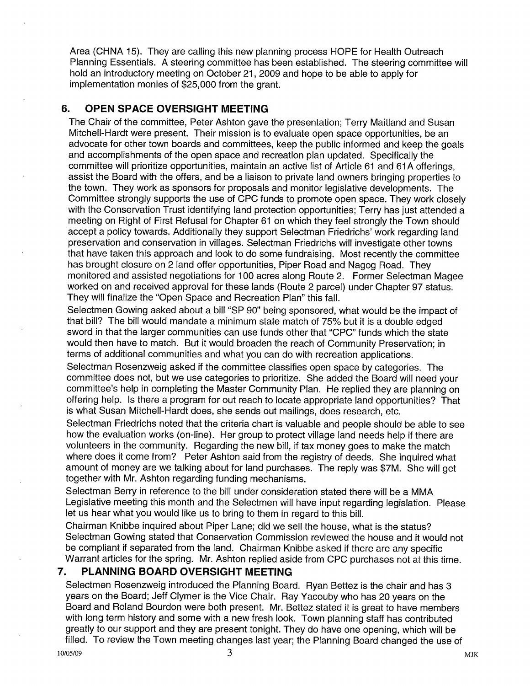Area (CHNA 15). They are calling this new planning process HOPE for Health Outreach Planning Essentials. A steering committee has been established. The steering committee will hold an introductory meeting on October 21, 2009 and hope to be able to apply for implementation monies of \$25,000 from the grant.

## 6. OPEN SPACE OVERSIGHT MEETING

The Chair of the committee, Peter Ashton gave the presentation; Terry Maitland and Susan Mitchell-Hardt were present. Their mission is to evaluate open space opportunities, be an advocate for other town boards and committees, keep the public informed and keep the goals and accomplishments of the open space and recreation plan updated. Specifically the committee will prioritize opportunities, maintain an active list of Article 61 and 61A offerings, assist the Board with the offers, and be a liaison to private land owners bringing properties to the town. They work as sponsors for proposals and monitor legislative developments. The Committee strongly supports the use of CPC funds to promote open space. They work closely with the Conservation Trust identifying land protection opportunities; Terry has just attended a meeting on Right of First Refusal for Chapter 61 on which they feel strongly the Town should accept a policy towards. Additionally they support Selectman Friedrichs' work regarding land preservation and conservation in villages. Selectman Friedrichs will investigate other towns that have taken this approach and look to do some fundraising. Most recently the committee has brought closure on 2 land offer opportunities, Piper Road and Nagog Road. They monitored and assisted negotiations for 100 acres along Route 2. Former Selectman Magee worked on and received approval for these lands (Route 2 parcel) under Chapter 97 status. They will finalize the "Open Space and Recreation Plan" this fall.

Selectmen Gowing asked about a bill "SP 90" being sponsored, what would be the impact of that bill? The bill would mandate a minimum state match of 75% but it is a double edged sword in that the larger communities can use funds other that "CPC" funds which the state would then have to match. But it would broaden the reach of Community Preservation; in terms of additional communities and what you can do with recreation applications.

Selectman Rosenzweig asked if the committee classifies open space by categories. The committee does not, but we use categories to prioritize. She added the Board will need your committee's help in completing the Master Community Plan. He replied they are planning on offering help. Is there a program for out reach to locate appropriate land opportunities? That is what Susan Mitchell-Hardt does, she sends out mailings, does research, etc.

Selectman Friedrichs noted that the criteria chart is valuable and people should be able to see how the evaluation works (on-line). Her group to protect village land needs help if there are volunteers in the community. Regarding the new bill, if tax money goes to make the match where does it come from? Peter Ashton said from the registry of deeds. She inquired what amount of money are we talking about for land purchases. The reply was \$7M. She will get together with Mr. Ashton regarding funding mechanisms.

Selectman Berry in reference to the bill under consideration stated there will be a MMA Legislative meeting this month and the Selectmen will have input regarding legislation. Please let us hear what you would like us to bring to them in regard to this bill.

Chairman Knibbe inquired about Piper Lane; did we sell the house, what is the status? Selectman Gowing stated that Conservation Commission reviewed the house and it would not be compliant if separated from the land. Chairman Knibbe asked if there are any specific Warrant articles for the spring. Mr. Ashton replied aside from CPC purchases not at this time.

## 7. PLANNING BOARD OVERSIGHT MEETING

Selectmen Rosenzweig introduced the Planning Board. Ryan Bettez is the chair and has 3 years on the Board; Jeff Clymer is the Vice Chair. Ray Yacouby who has 20 years on the Board and Roland Bourdon were both present. Mr. Bettez stated it is great to have members with long term history and some with a new fresh look. Town planning staff has contributed greatly to our support and they are present tonight. They do have one opening, which will be filled. To review the Town meeting changes last year; the Planning Board changed the use of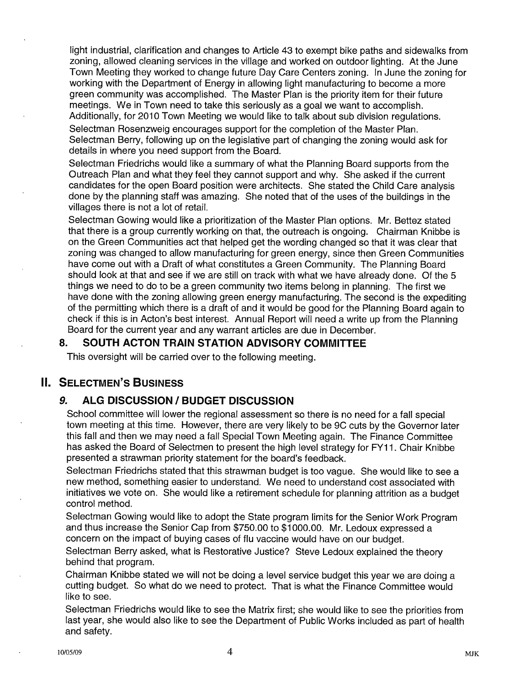light industrial, clarification and changes to Article 43 to exempt bike paths and sidewalks from zoning, allowed cleaning services in the village and worked on outdoor lighting. At the June Town Meeting they worked to change future Day Care Centers zoning. In June the zoning for working with the Department of Energy in allowing light manufacturing to become a more green community was accomplished. The Master Plan is the priority item for their future meetings. We in Town need to take this seriously as a goal we want to accomplish. Additionally, for 2010 Town Meeting we would like to talk about sub division regulations.

Selectman Rosenzweig encourages support for the completion of the Master Plan. Selectman Berry, following up on the legislative part of changing the zoning would ask for details in where you need support from the Board.

Selectman Friedrichs would like a summary of what the Planning Board supports from the Outreach Plan and what they feel they cannot support and why. She asked if the current candidates for the open Board position were architects. She stated the Child Care analysis done by the planning staff was amazing. She noted that of the uses of the buildings in the villages there is not a lot of retail.

Selectman Gowing would like a prioritization of the Master Plan options. Mr. Bettez stated that there is a group currently working on that, the outreach is ongoing. Chairman Knibbe is on the Green Communities act that helped get the wording changed so that it was clear that zoning was changed to allow manufacturing for green energy, since then Green Communities have come out with a Draft of what constitutes a Green Community. The Planning Board should look at that and see if we are still on track with what we have already done. Of the 5 things we need to do to be a green community two items belong in planning. The first we have done with the zoning allowing green energy manufacturing. The second is the expediting of the permiffing which there is a draft of and it would be good for the Planning Board again to check if this is in Acton's best interest. Annual Report will need a write up from the Planning Board for the current year and any warrant articles are due in December.

#### 8. SOUTH ACTON TRAIN STATION ADVISORY COMMITTEE

This oversight will be carried over to the following meeting.

## II. SELECTMEN'S BUSINESS

#### 9. ALG DISCUSSION / BUDGET DISCUSSION

School committee will lower the regional assessment so there is no need for a fall special town meeting at this time. However, there are very likely to be 9C cuts by the Governor later this fall and then we may need a fall Special Town Meeting again. The Finance Committee has asked the Board of Selectmen to present the high level strategy for FY11. Chair Knibbe presented a strawman priority statement for the board's feedback.

Selectman Friedrichs stated that this strawman budget is too vague. She would like to see a new method, something easier to understand. We need to understand cost associated with initiatives we vote on. She would like a retirement schedule for planning attrition as a budget control method.

Selectman Gowing would like to adopt the State program limits for the Senior Work Program and thus increase the Senior Cap from \$750.00 to \$1000.00. Mr. Ledoux expressed a concern on the impact of buying cases of flu vaccine would have on our budget.

Selectman Berry asked, what is Restorative Justice? Steve Ledoux explained the theory behind that program.

Chairman Knibbe stated we will not be doing a level service budget this year we are doing a cutting budget. So what do we need to protect. That is what the Finance Committee would like to see.

Selectman Friedrichs would like to see the Matrix first; she would like to see the priorities from last year, she would also like to see the Department of Public Works included as part of health and safety.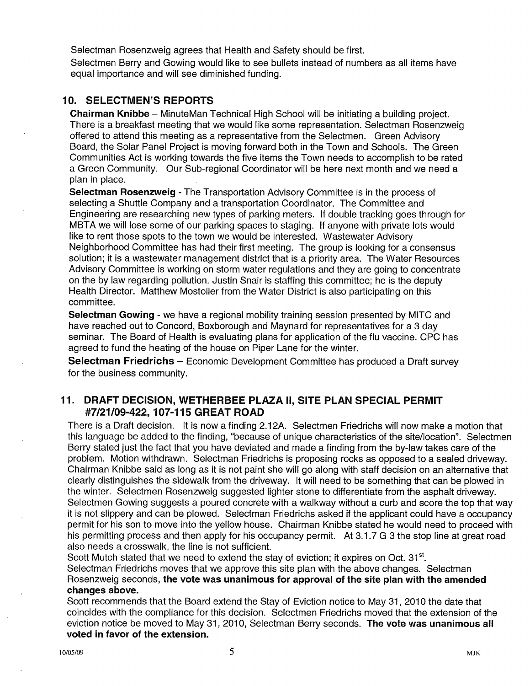Selectman Rosenzweig agrees that Health and Safety should be first. Selectmen Berry and Gowing would like to see bullets instead of numbers as all items have equal importance and will see diminished funding.

#### 10. SELECTMEN'S REPORTS

Chairman Knibbe — MinuteMan Technical High School will be initiating a building project. There is a breakfast meeting that we would like some representation. Selectman Rosenzweig offered to attend this meeting as a representative from the Selectmen. Green Advisory Board, the Solar Panel Project is moving forward both in the Town and Schools. The Green Communities Act is working towards the five items the Town needs to accomplish to be rated a Green Community. Our Sub-regional Coordinator will be here next month and we need a plan in place.

Selectman Rosenzweig - The Transportation Advisory Committee is in the process of selecting a Shuttle Company and a transportation Coordinator. The Committee and Engineering are researching new types of parking meters. If double tracking goes through for MBTA we will lose some of our parking spaces to staging. If anyone with private lots would like to rent those spots to the town we would be interested. Wastewater Advisory Neighborhood Committee has had their first meeting. The group is looking for a consensus solution; it is a wastewater management district that is a priority area. The Water Resources Advisory Committee is working on storm water regulations and they are going to concentrate on the by law regarding pollution. Justin Snair is staffing this committee; he is the deputy Health Director. Matthew Mostoller from the Water District is also participating on this committee.

Selectman Gowing - we have a regional mobility training session presented by MITC and have reached out to Concord, Boxborough and Maynard for representatives for a 3 day seminar. The Board of Health is evaluating plans for application of the flu vaccine. CPC has agreed to fund the heating of the house on Piper Lane for the winter.

Selectman Friedrichs — Economic Development Committee has produced a Draft survey for the business community.

#### 11. DRAFT DECISION, WETHERBEE PLAZA II, SITE PLAN SPECIAL PERMIT #7/21/09-422, 107-115 GREAT ROAD

There is a Draft decision. It is now a finding 2.12A. Selectmen Friedrichs will now make a motion that this language be added to the finding, "because of unique characteristics of the site/location". Selectmen Berry stated just the fact that you have deviated and made a finding from the by-law takes care of the problem. Motion withdrawn. Selectman Friedrichs is proposing rocks as opposed to a sealed driveway. Chairman Knibbe said as long as it is not paint she will go along with staff decision on an alternative that clearly distinguishes the sidewalk from the driveway, It will need to be something that can be plowed in the winter. Selectmen Rosenzweig suggested lighter stone to differentiate from the asphalt driveway. Selectmen Gowing suggests a poured concrete with a walkway without a curb and score the top that way it is not slippery and can be plowed. Selectman Friedrichs asked if the applicant could have a occupancy permit for his son to move into the yellow house. Chairman Knibbe stated he would need to proceed with his permitting process and then apply for his occupancy permit. At 3.1.7 G 3 the stop line at great road also needs a crosswalk, the line is not sufficient.

Scott Mutch stated that we need to extend the stay of eviction; it expires on Oct.  $31<sup>st</sup>$ . Selectman Friedrichs moves that we approve this site plan with the above changes. Selectman Rosenzweig seconds, the vote was unanimous for approval of the site plan with the amended changes above.

Scott recommends that the Board extend the Stay of Eviction notice to May 31, 2010 the date that coincides with the compliance for this decision. Selectmen Friedrichs moved that the extension of the eviction notice be moved to May 31, 2010, Selectman Berry seconds. The vote was unanimous all voted in favor of the extension.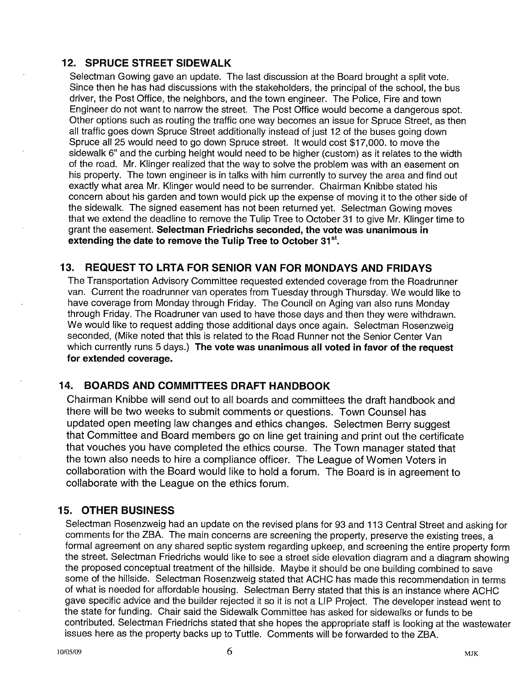#### 12. SPRUCE STREET SIDEWALK

Selectman Gowing gave an update. The last discussion at the Board brought a split vote. Since then he has had discussions with the stakeholders, the principal of the school, the bus driver, the Post Office, the neighbors, and the town engineer. The Police, Fire and town Engineer do not want to narrow the street. The Post Office would become a dangerous spot. Other options such as routing the traffic one way becomes an issue for Spruce Street, as then all traffic goes down Spruce Street additionally instead of just 12 of the buses going down Spruce all 25 would need to go down Spruce Street. It would cost \$17,000. to move the sidewalk 6" and the curbing height would need to be higher (custom) as it relates to the width of the road. Mr. Klinger realized that the way to solve the problem was with an easement on his property. The town engineer is in talks with him currently to survey the area and find out exactly what area Mr. Klinger would need to be surrender. Chairman Knibbe stated his concern about his garden and town would pick up the expense of moving it to the other side of the sidewalk. The signed easement has not been returned yet. Selectman Gowing moves that we extend the deadline to remove the Tulip Tree to October 31 to give Mr. Klinger time to grant the easement. Selectman Friedrichs seconded, the vote was unanimous in extending the date to remove the Tulip Tree to October 31<sup>st</sup>.

#### 13. REQUEST TO LRTA FOR SENIOR VAN FOR MONDAYS AND FRIDAYS

The Transportation Advisory Committee requested extended coverage from the Roadrunner van. Current the roadrunner van operates from Tuesday through Thursday. We would like to have coverage from Monday through Friday. The Council on Aging van also runs Monday through Friday. The Roadruner van used to have those days and then they were withdrawn. We would like to request adding those additional days once again. Selectman Rosenzweig seconded, (Mike noted that this is related to the Road Runner not the Senior Center Van which currently runs 5 days.) The vote was unanimous all voted in favor of the request for extended coverage.

#### 14. BOARDS AND COMMITTEES DRAFT HANDBOOK

Chairman Knibbe will send out to all boards and committees the draft handbook and there will be two weeks to submit comments or questions. Town Counsel has updated open meeting law changes and ethics changes. Selectmen Berry suggest that Committee and Board members go on line get training and print out the certificate that vouches you have completed the ethics course. The Town manager stated that the town also needs to hire a compliance officer. The League of Women Voters in collaboration with the Board would like to hold a forum. The Board is in agreement to collaborate with the League on the ethics forum.

#### 15. OTHER BUSINESS

Selectman Rosenzweig had an update on the revised plans for 93 and 113 Central Street and asking for comments for the ZBA. The main concerns are screening the property, preserve the existing trees, a formal agreement on any shared septic system regarding upkeep, and screening the entire property form the street. Selectman Friedrichs would like to see <sup>a</sup> street side elevation diagram and <sup>a</sup> diagram showing the proposed conceptual treatment of the hillside. Maybe it should be one building combined to save some of the hillside. Selectman Rosenzweig stated that ACHC has made this recommendation in terms of what is needed for affordable housing. Selectman Berry stated that this is an instance where ACHC gave specific advice and the builder rejected it so it is not a LIP Project. The developer instead went to the state for funding. Chair said the Sidewalk Committee has asked for sidewalks or funds to be contributed. Selectman Friedrichs stated that she hopes the appropriate staff is looking at the wastewater issues here as the property backs up to Tuttle. Comments will be forwarded to the ZBA.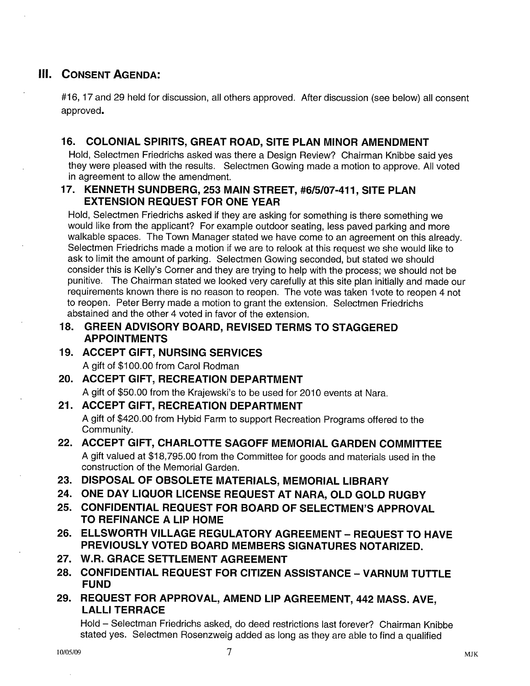## III. CONSENT AGENDA:

#16, 17 and 29 held for discussion, all others approved. After discussion (see below) all consent approved.

## 16. COLONIAL SPIRITS, GREAT ROAD, SITE PLAN MINOR AMENDMENT

Hold, Selectmen Friedrichs asked was there a Design Review? Chairman Knibbe said yes they were pleased with the results. Selectmen Gowing made a motion to approve. All voted in agreement to allow the amendment.

#### 17. KENNETH SUNDBERG, 253 MAIN STREET, #6/5/07-411, SITE PLAN EXTENSION REQUEST FOR ONE YEAR

Hold, Selectmen Friedrichs asked if they are asking for something is there something we would like from the applicant? For example outdoor seating, less paved parking and more walkable spaces. The Town Manager stated we have come to an agreement on this already. Selectmen Friedrichs made a motion if we are to relook at this request we she would like to ask to limit the amount of parking. Selectmen Gowing seconded, but stated we should consider this is Kelly's Corner and they are trying to help with the process; we should not be punitive. The Chairman stated we looked very carefully at this site plan initially and made our requirements known there is no reason to reopen. The vote was taken lvote to reopen 4 not to reopen. Peter Berry made a motion to grant the extension. Selectmen Friedrichs abstained and the other 4 voted in favor of the extension.

#### 18. GREEN ADVISORY BOARD, REVISED TERMS TO STAGGERED APPOINTMENTS

## 19. ACCEPT GIFT, NURSING SERVICES

A gift of \$100.00 from Carol Rodman

## 20. ACCEPT GIFT, RECREATION DEPARTMENT

A gift of \$50.00 from the Krajewski's to be used for 2010 events at Nara.

## 21. ACCEPT GIFT, RECREATION DEPARTMENT

A gift of \$420.00 from Hybid Farm to support Recreation Programs offered to the Community.

#### 22. ACCEPT GIFT, CHARLOTTE SAGOFF MEMORIAL GARDEN COMMITTEE <sup>A</sup> gift valued at \$18,795.00 from the Committee for goods and materials used in the construction of the Memorial Garden.

23. DISPOSAL OF OBSOLETE MATERIALS, MEMORIAL LIBRARY

- 24. ONE DAY LIQUOR LICENSE REQUEST AT NARA, OLD GOLD RUGBY
- 25. CONFIDENTIAL REQUEST FOR BOARD OF SELECTMEN'S APPROVAL TO REFINANCE A LIP HOME
- 26. ELLSWORTH VILLAGE REGULATORY AGREEMENT REQUEST TO HAVE PREVIOUSLY VOTED BOARD MEMBERS SIGNATURES NOTARIZED.
- 27. W.R. GRACE SETTLEMENT AGREEMENT
- 28. CONFIDENTIAL REQUEST FOR CITIZEN ASSISTANCE VARNUM TUTTLE FUND
- 29. REQUEST FOR APPROVAL, AMEND LIP AGREEMENT, 442 MASS. AyE, LALLI TERRACE

Hold — Selectman Friedrichs asked, do deed restrictions last forever? Chairman Knibbe stated yes. Selectmen Rosenzweig added as long as they are able to find a qualified